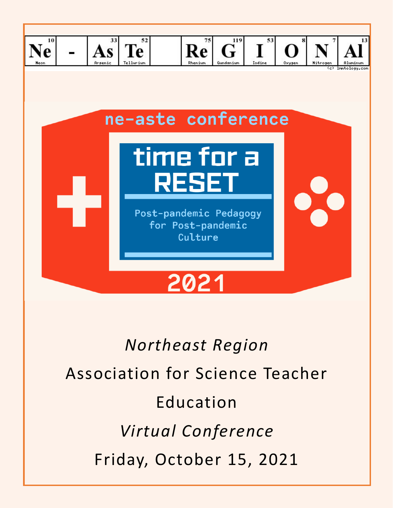

# *Northeast Region* Association for Science Teacher Education *Virtual Conference* Friday, October 15, 2021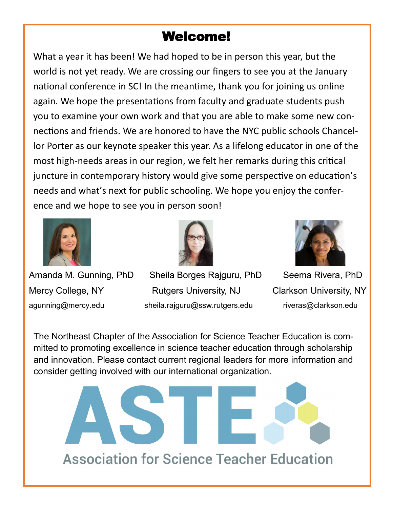# Welcome!

What a year it has been! We had hoped to be in person this year, but the world is not yet ready. We are crossing our fingers to see you at the January national conference in SC! In the meantime, thank you for joining us online again. We hope the presentations from faculty and graduate students push you to examine your own work and that you are able to make some new connections and friends. We are honored to have the NYC public schools Chancellor Porter as our keynote speaker this year. As a lifelong educator in one of the most high-needs areas in our region, we felt her remarks during this critical juncture in contemporary history would give some perspective on education's needs and what's next for public schooling. We hope you enjoy the conference and we hope to see you in person soon!





Amanda M. Gunning, PhD Sheila Borges Rajguru, PhD Seema Rivera, PhD Mercy College, NY Rutgers University, NJ Clarkson University, NY agunning@mercy.edu sheila.rajguru@ssw.rutgers.edu riveras@clarkson.edu

The Northeast Chapter of the Association for Science Teacher Education is committed to promoting excellence in science teacher education through scholarship and innovation. Please contact current regional leaders for more information and consider getting involved with our international organization.

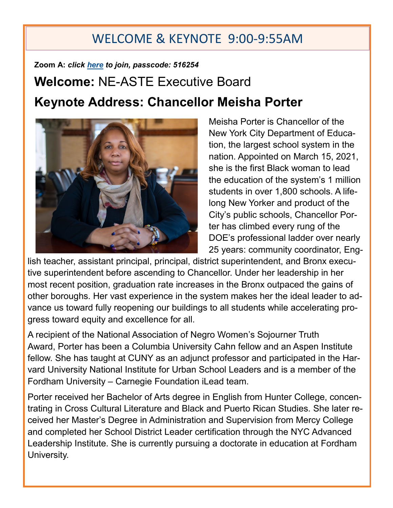# WELCOME & KEYNOTE 9:00-9:55AM

# **Zoom A:** *click [here](https://clarkson.zoom.us/j/91751773295?pwd=VU5RRE9KdjJ5MFNHdDBOdEY0TllGUT09) to join, passcode: 516254* **Welcome:** NE-ASTE Executive Board **Keynote Address: Chancellor Meisha Porter**



Meisha Porter is Chancellor of the New York City Department of Education, the largest school system in the nation. Appointed on March 15, 2021, she is the first Black woman to lead the education of the system's 1 million students in over 1,800 schools. A lifelong New Yorker and product of the City's public schools, Chancellor Porter has climbed every rung of the DOE's professional ladder over nearly 25 years: community coordinator, Eng-

lish teacher, assistant principal, principal, district superintendent, and Bronx executive superintendent before ascending to Chancellor. Under her leadership in her most recent position, graduation rate increases in the Bronx outpaced the gains of other boroughs. Her vast experience in the system makes her the ideal leader to advance us toward fully reopening our buildings to all students while accelerating progress toward equity and excellence for all.

A recipient of the National Association of Negro Women's Sojourner Truth Award, Porter has been a Columbia University Cahn fellow and an Aspen Institute fellow. She has taught at CUNY as an adjunct professor and participated in the Harvard University National Institute for Urban School Leaders and is a member of the Fordham University – Carnegie Foundation iLead team.

Porter received her Bachelor of Arts degree in English from Hunter College, concentrating in Cross Cultural Literature and Black and Puerto Rican Studies. She later received her Master's Degree in Administration and Supervision from Mercy College and completed her School District Leader certification through the NYC Advanced Leadership Institute. She is currently pursuing a doctorate in education at Fordham University.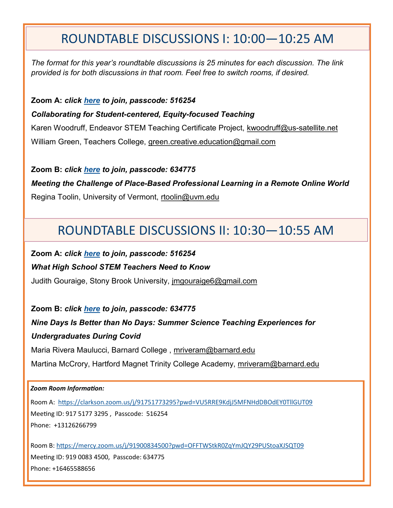### ROUNDTABLE DISCUSSIONS I: 10:00—10:25 AM

*The format for this year's roundtable discussions is 25 minutes for each discussion. The link provided is for both discussions in that room. Feel free to switch rooms, if desired.* 

**Zoom A:** *click [here](https://clarkson.zoom.us/j/91751773295?pwd=VU5RRE9KdjJ5MFNHdDBOdEY0TllGUT09) to join, passcode: 516254*

*Collaborating for Student-centered, Equity-focused Teaching* 

Karen Woodruff, Endeavor STEM Teaching Certificate Project, kwoodruff@us-satellite.net William Green, Teachers College, green.creative.education@gmail.com

**Zoom B:** *click [here](https://rutgers.zoom.us/j/99380601177?pwd=Rk5OOGt1Nkh6aVJEUkpVRktqMG1FUT09) to join, passcode: 634775 Meeting the Challenge of Place-Based Professional Learning in a Remote Online World* 

Regina Toolin, University of Vermont, rtoolin@uvm.edu

# ROUNDTABLE DISCUSSIONS II: 10:30—10:55 AM

**Zoom A:** *click [here](https://clarkson.zoom.us/j/91751773295?pwd=VU5RRE9KdjJ5MFNHdDBOdEY0TllGUT09) to join, passcode: 516254 What High School STEM Teachers Need to Know*  Judith Gouraige, Stony Brook University, *imgouraige6@gmail.com* 

**Zoom B:** *click [here](https://mercy.zoom.us/j/91900834500?pwd=OFFTWStkR0ZqYmJQY29PUStoaXJSQT09) to join, passcode: 634775 Nine Days Is Better than No Days: Summer Science Teaching Experiences for Undergraduates During Covid*  Maria Rivera Maulucci, Barnard College , mriveram@barnard.edu

Martina McCrory, Hartford Magnet Trinity College Academy, mriveram@barnard.edu

#### *Zoom Room Information:*

Room A: [https://clarkson.zoom.us/j/91751773295?pwd=VU5RRE9KdjJ5MFNHdDBOdEY0TllGUT09](https://nam12.safelinks.protection.outlook.com/?url=https%3A%2F%2Fclarkson.zoom.us%2Fj%2F91751773295%3Fpwd%3DVU5RRE9KdjJ5MFNHdDBOdEY0TllGUT09&data=04%7C01%7Cagunning%40mercy.edu%7C786dd718ed6e4ce4b9ac08d989c34b90%7C88404777f24b4e1cada1bde9cda22754%7C0%7C0%7C6) Meeting ID: 917 5177 3295 , Passcode: 516254 Phone: +13126266799

Room B: <https://mercy.zoom.us/j/91900834500?pwd=OFFTWStkR0ZqYmJQY29PUStoaXJSQT09> Meeting ID: 919 0083 4500, Passcode: 634775 Phone: +16465588656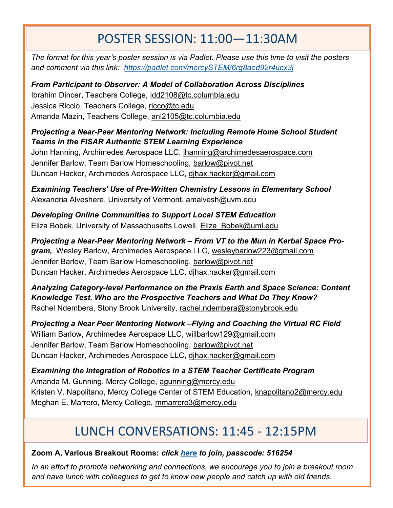# POSTER SESSION: 11:00—11:30AM

*The format for this year's poster session is via Padlet. Please use this time to visit the posters and comment via this link: <https://padlet.com/mercySTEM/6rg8aed92r4ucx3j>*

*From Participant to Observer: A Model of Collaboration Across Disciplines*  Ibrahim Dincer, Teachers College, idd2108@tc.columbia.edu Jessica Riccio, Teachers College, ricco@tc.edu Amanda Mazin, Teachers College, anl2105@tc.columbia.edu

*Projecting a Near-Peer Mentoring Network: Including Remote Home School Student Teams in the FISAR Authentic STEM Learning Experience* 

John Hanning, Archimedes Aerospace LLC, jhanning@archimedesaerospace.com Jennifer Barlow, Team Barlow Homeschooling, barlow@pivot.net Duncan Hacker, Archimedes Aerospace LLC, djhax.hacker@gmail.com

*Examining Teachers' Use of Pre-Written Chemistry Lessons in Elementary School*  Alexandria Alveshere, University of Vermont, amalvesh@uvm.edu

*Developing Online Communities to Support Local STEM Education*  Eliza Bobek, University of Massachusetts Lowell, Eliza\_Bobek@uml.edu

*Projecting a Near-Peer Mentoring Network – From VT to the Mun in Kerbal Space Program,* Wesley Barlow, Archimedes Aerospace LLC, wesleybarlow223@gmail.com Jennifer Barlow, Team Barlow Homeschooling, barlow@pivot.net Duncan Hacker, Archimedes Aerospace LLC, djhax.hacker@gmail.com

*Analyzing Category-level Performance on the Praxis Earth and Space Science: Content Knowledge Test. Who are the Prospective Teachers and What Do They Know?*  Rachel Ndembera, Stony Brook University, rachel.ndembera@stonybrook.edu

*Projecting a Near Peer Mentoring Network –Flying and Coaching the Virtual RC Field*  William Barlow, Archimedes Aerospace LLC, willbarlow129@gmail.com Jennifer Barlow, Team Barlow Homeschooling, barlow@pivot.net Duncan Hacker, Archimedes Aerospace LLC, djhax.hacker@gmail.com

*Examining the Integration of Robotics in a STEM Teacher Certificate Program* Amanda M. Gunning, Mercy College, agunning@mercy.edu Kristen V. Napolitano, Mercy College Center of STEM Education, knapolitano2@mercy.edu Meghan E. Marrero, Mercy College, mmarrero3@mercy.edu

# LUNCH CONVERSATIONS: 11:45 - 12:15PM

#### **Zoom A, Various Breakout Rooms:** *click [here](https://clarkson.zoom.us/j/91751773295?pwd=VU5RRE9KdjJ5MFNHdDBOdEY0TllGUT09) to join, passcode: 516254*

*In an effort to promote networking and connections, we encourage you to join a breakout room and have lunch with colleagues to get to know new people and catch up with old friends.*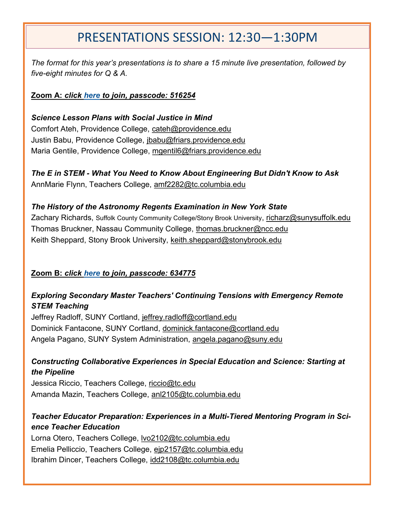# PRESENTATIONS SESSION: 12:30—1:30PM

*The format for this year's presentations is to share a 15 minute live presentation, followed by five-eight minutes for Q & A.* 

#### **Zoom A:** *click [here](https://clarkson.zoom.us/j/91751773295?pwd=VU5RRE9KdjJ5MFNHdDBOdEY0TllGUT09) to join, passcode: 516254*

*Science Lesson Plans with Social Justice in Mind* Comfort Ateh, Providence College, cateh@providence.edu Justin Babu, Providence College, jbabu@friars.providence.edu Maria Gentile, Providence College, mgentil6@friars.providence.edu

*The E in STEM - What You Need to Know About Engineering But Didn't Know to Ask*  AnnMarie Flynn, Teachers College, amf2282@tc.columbia.edu

#### *The History of the Astronomy Regents Examination in New York State*

Zachary Richards, Suffolk County Community College/Stony Brook University, richarz@sunysuffolk.edu Thomas Bruckner, Nassau Community College, thomas.bruckner@ncc.edu Keith Sheppard, Stony Brook University, keith.sheppard@stonybrook.edu

#### **Zoom B:** *click [here](https://mercy.zoom.us/j/91900834500?pwd=OFFTWStkR0ZqYmJQY29PUStoaXJSQT09) to join, passcode: 634775*

#### *Exploring Secondary Master Teachers' Continuing Tensions with Emergency Remote STEM Teaching*

Jeffrey Radloff, SUNY Cortland, jeffrey.radloff@cortland.edu Dominick Fantacone, SUNY Cortland, dominick.fantacone@cortland.edu Angela Pagano, SUNY System Administration, angela.pagano@suny.edu

#### *Constructing Collaborative Experiences in Special Education and Science: Starting at the Pipeline*

Jessica Riccio, Teachers College, riccio@tc.edu Amanda Mazin, Teachers College, anl2105@tc.columbia.edu

#### *Teacher Educator Preparation: Experiences in a Multi-Tiered Mentoring Program in Science Teacher Education*

Lorna Otero, Teachers College, lvo2102@tc.columbia.edu Emelia Pelliccio, Teachers College, ejp2157@tc.columbia.edu Ibrahim Dincer, Teachers College, idd2108@tc.columbia.edu